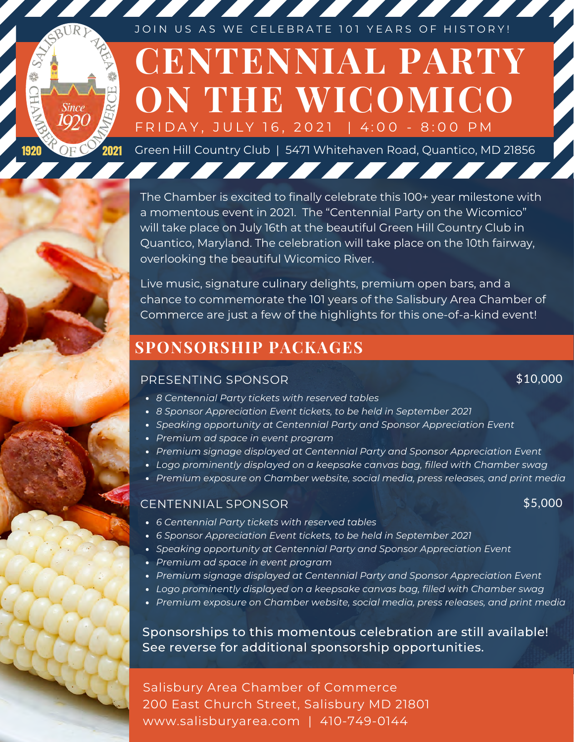Since OF C 2021

JOIN US AS WE CELEBRATE 101 YEARS OF HISTORY!

# **CENTENNIAL PARTY ON THE WICOMICO** FRIDAY, JULY 16, 2021 | 4:00 - 8:00 PM

Green Hill Country Club | 5471 Whitehaven Road, Quantico, MD 21856

7 7 7 7 7 7 7 7 7 7 7 7 8

The Chamber is excited to finally celebrate this 100+ year milestone with a momentous event in 2021. The "Centennial Party on the Wicomico" will take place on July 16th at the beautiful Green Hill Country Club in Quantico, Maryland. The celebration will take place on the 10th fairway, overlooking the beautiful Wicomico River.

Live music, signature culinary delights, premium open bars, and a chance to commemorate the 101 years of the Salisbury Area Chamber of Commerce are just a few of the highlights for this one-of-a-kind event!

### **SPONSORSHIP PACKAGES**

#### PRESENTING SPONSOR

*8 Centennial Party tickets with reserved tables*

- *8 Sponsor Appreciation Event tickets, to be held in September 2021*
- *Speaking opportunity at Centennial Party and Sponsor Appreciation Event*
- *Premium ad space in event program*
- *Premium signage displayed at Centennial Party and Sponsor Appreciation Event*
- *Logo prominently displayed on a keepsake canvas bag, filled with Chamber swag*
- *Premium exposure on Chamber website, social media, press releases, and print media*

#### CENTENNIAL SPONSOR \$5,000

\$10,000

- *6 Centennial Party tickets with reserved tables*
- *6 Sponsor Appreciation Event tickets, to be held in September 2021*
- *Speaking opportunity at Centennial Party and Sponsor Appreciation Event*
- *Premium ad space in event program*
- *Premium signage displayed at Centennial Party and Sponsor Appreciation Event*
- *Logo prominently displayed on a keepsake canvas bag, filled with Chamber swag*
- *Premium exposure on Chamber website, social media, press releases, and print media*

Sponsorships to this momentous celebration are still available! See reverse for additional sponsorship opportunities.

Salisbury Area Chamber of Commerce 200 East Church Street, Salisbury MD 21801 www.salisburyarea.com | 410-749-0144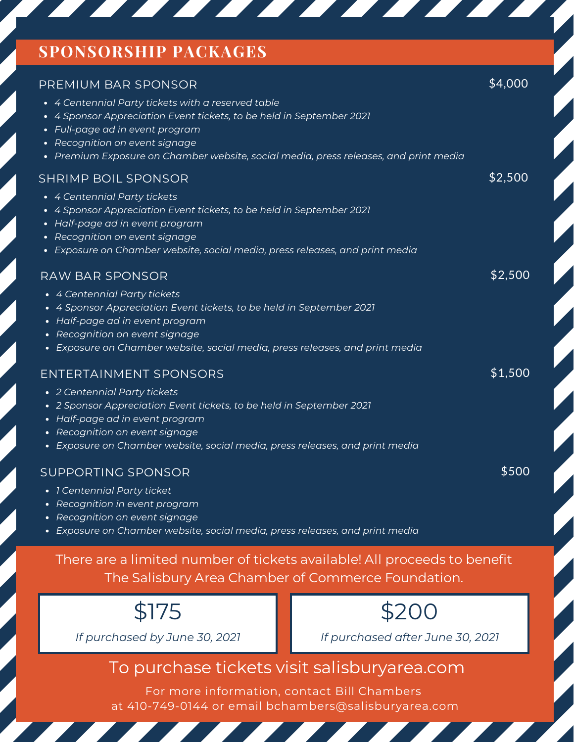#### **SPONSORSHIP PACKAGES**

<u> De de Santa Carriera de Santa Carriera de Santa Carriera de Santa Carriera de Santa Carriera de Santa Carriera de Santa Carriera de Santa Carriera de Santa Carriera de Santa Carriera de Santa Carriera de Santa Carriera d</u>

<u>andari Santa Barat da Barat da Barat da Barat da Barat da Barat da Barat da Barat da Barat da Barat da Barat da Barat da Barat da Barat da Barat da Barat da Barat da Barat da Barat da Barat da Barat da Barat da Barat da B</u>

<u> The Books of the Books of the Books of the Books of the Books of the Books of the Books of the Books of the Books of the Books of the Books of the Books of the Books of the Books of the Books of the Books of the Books of</u>

 $\mathcal{L}$ 

 $\mathcal{L}$ 

| PREMIUM BAR SPONSOR                                                                                                                                                                                                                                                                              | \$4,000 |
|--------------------------------------------------------------------------------------------------------------------------------------------------------------------------------------------------------------------------------------------------------------------------------------------------|---------|
| • 4 Centennial Party tickets with a reserved table<br>• 4 Sponsor Appreciation Event tickets, to be held in September 2021<br>• Full-page ad in event program<br>Recognition on event signage<br>Premium Exposure on Chamber website, social media, press releases, and print media<br>$\bullet$ |         |
| <b>SHRIMP BOIL SPONSOR</b>                                                                                                                                                                                                                                                                       | \$2,500 |
| • 4 Centennial Party tickets<br>• 4 Sponsor Appreciation Event tickets, to be held in September 2021<br>• Half-page ad in event program<br>• Recognition on event signage                                                                                                                        |         |
| Exposure on Chamber website, social media, press releases, and print media<br>$\bullet$                                                                                                                                                                                                          |         |
| <b>RAW BAR SPONSOR</b>                                                                                                                                                                                                                                                                           | \$2,500 |
| • 4 Centennial Party tickets<br>• 4 Sponsor Appreciation Event tickets, to be held in September 2021<br>• Half-page ad in event program<br>• Recognition on event signage<br>• Exposure on Chamber website, social media, press releases, and print media                                        |         |
| <b>ENTERTAINMENT SPONSORS</b>                                                                                                                                                                                                                                                                    | \$1,500 |
| • 2 Centennial Party tickets<br>• 2 Sponsor Appreciation Event tickets, to be held in September 2021<br>• Half-page ad in event program<br>• Recognition on event signage<br>• Exposure on Chamber website, social media, press releases, and print media                                        |         |
| SUPPORTING SPONSOR                                                                                                                                                                                                                                                                               | \$500   |
| • 1 Centennial Party ticket<br>• Recognition in event program                                                                                                                                                                                                                                    |         |

- *Recognition on event signage*
- *Exposure on Chamber website, social media, press releases, and print media*

There are a limited number of tickets available! All proceeds to benefit The Salisbury Area Chamber of Commerce Foundation.



*If purchased by June 30, 2021*



*If purchased after June 30, 2021*

### To purchase tickets visit salisburyarea.com

For more information, contact Bill Chambers at 410-749-0144 or email bchambers@salisburyarea.com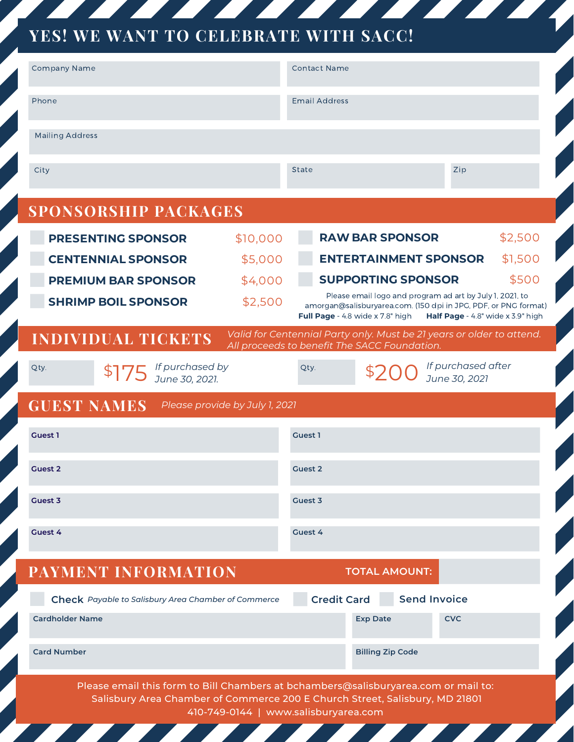## **YES! WE WANT TO CELEBRATE WITH SACC!**

| <b>Company Name</b>                                                                                                                                                                                       |          | <b>Contact Name</b>  |                                                                                              |                                                                                                      |  |
|-----------------------------------------------------------------------------------------------------------------------------------------------------------------------------------------------------------|----------|----------------------|----------------------------------------------------------------------------------------------|------------------------------------------------------------------------------------------------------|--|
| Phone                                                                                                                                                                                                     |          | <b>Email Address</b> |                                                                                              |                                                                                                      |  |
| <b>Mailing Address</b>                                                                                                                                                                                    |          |                      |                                                                                              |                                                                                                      |  |
| City                                                                                                                                                                                                      |          | <b>State</b>         |                                                                                              | Zip                                                                                                  |  |
| <b>SPONSORSHIP PACKAGES</b>                                                                                                                                                                               |          |                      |                                                                                              |                                                                                                      |  |
| <b>PRESENTING SPONSOR</b>                                                                                                                                                                                 | \$10,000 |                      | <b>RAW BAR SPONSOR</b>                                                                       | \$2,500                                                                                              |  |
| <b>CENTENNIAL SPONSOR</b>                                                                                                                                                                                 | \$5,000  |                      | <b>ENTERTAINMENT SPONSOR</b>                                                                 | \$1,500                                                                                              |  |
| <b>PREMIUM BAR SPONSOR</b>                                                                                                                                                                                | \$4,000  |                      | <b>SUPPORTING SPONSOR</b>                                                                    | \$500                                                                                                |  |
| <b>SHRIMP BOIL SPONSOR</b>                                                                                                                                                                                | \$2,500  |                      | Please email logo and program ad art by July 1, 2021, to<br>Full Page - 4.8 wide x 7.8" high | amorgan@salisburyarea.com. (150 dpi in JPG, PDF, or PNG format)<br>Half Page - 4.8" wide x 3.9" high |  |
| <b>INDIVIDUAL TICKETS</b>                                                                                                                                                                                 |          |                      | All proceeds to benefit The SACC Foundation.                                                 | Valid for Centennial Party only. Must be 21 years or older to attend.                                |  |
| $$75$ <i>If purchased by</i><br>June 30, 2021.<br>Qty.                                                                                                                                                    |          | Qty.                 |                                                                                              | If purchased after<br>June 30, 2021                                                                  |  |
| <b>GUEST NAMES</b><br>Please provide by July 1, 2021                                                                                                                                                      |          |                      |                                                                                              |                                                                                                      |  |
| <b>Guest 1</b>                                                                                                                                                                                            |          | <b>Guest 1</b>       |                                                                                              |                                                                                                      |  |
| <b>Guest 2</b>                                                                                                                                                                                            |          | <b>Guest 2</b>       |                                                                                              |                                                                                                      |  |
| Guest 3                                                                                                                                                                                                   |          | Guest 3              |                                                                                              |                                                                                                      |  |
| Guest 4                                                                                                                                                                                                   |          | Guest 4              |                                                                                              |                                                                                                      |  |
| PAYMENT INFORMATION                                                                                                                                                                                       |          |                      | <b>TOTAL AMOUNT:</b>                                                                         |                                                                                                      |  |
| <b>Check</b> Payable to Salisbury Area Chamber of Commerce                                                                                                                                                |          | <b>Credit Card</b>   | <b>Send Invoice</b>                                                                          |                                                                                                      |  |
| <b>Cardholder Name</b>                                                                                                                                                                                    |          |                      | <b>Exp Date</b>                                                                              | <b>CVC</b>                                                                                           |  |
| <b>Card Number</b>                                                                                                                                                                                        |          |                      | <b>Billing Zip Code</b>                                                                      |                                                                                                      |  |
| Please email this form to Bill Chambers at bchambers@salisburyarea.com or mail to:<br>Salisbury Area Chamber of Commerce 200 E Church Street, Salisbury, MD 21801<br>410-749-0144   www.salisburyarea.com |          |                      |                                                                                              |                                                                                                      |  |

and the season of the season of the

 $\mathbf{Z}$